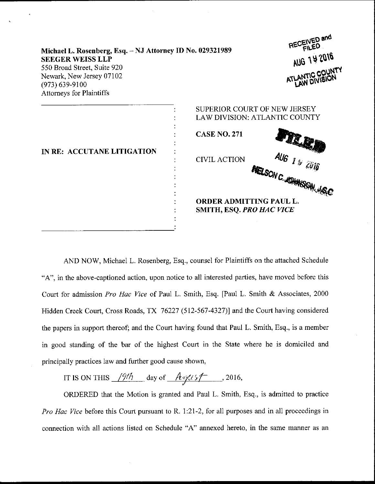| Michael L. Rosenberg, Esq. - NJ Attorney ID No. 029321989<br><b>SEEGER WEISS LLP</b><br>550 Broad Street, Suite 920<br>Newark, New Jersey 07102<br>$(973)$ 639-9100<br><b>Attorneys for Plaintiffs</b> |                                                                                                                    | RECEIVEL and<br>AUG 1 Y 2016<br>ATLANTIC COUNTY  |
|--------------------------------------------------------------------------------------------------------------------------------------------------------------------------------------------------------|--------------------------------------------------------------------------------------------------------------------|--------------------------------------------------|
| IN RE: ACCUTANE LITIGATION                                                                                                                                                                             | <b>SUPERIOR COURT OF NEW JERSEY</b><br>LAW DIVISION: ATLANTIC COUNTY<br><b>CASE NO. 271</b><br><b>CIVIL ACTION</b> | AU6 1 \$ 2016<br><b>NELSON C. JOHNSON, JS.C.</b> |
|                                                                                                                                                                                                        | <b>ORDER ADMITTING PAUL L.</b><br><b>SMITH, ESQ. PRO HAC VICE</b>                                                  |                                                  |

 $-$ 

AND NOW, Michael L. Rosenberg, Esq., counsel for Plaintiffs on the attached Schedule "A", in the above-captioned action, upon notice to all interested parties, have moved before this Court for admission Pro Hac Vice of Paul L. Smith, Esq. [Paul L. Smith & Associates, 2000 Hidden Creek Court, Cross Roads, TX 76227 (512-567-4327)] and the Court having considered the papers in support thereof; and the Court having found that Paul L. Smith, Esq., is a member in good standing of the bar of the highest Court in the State where he is domiciled aad principally practices law and further good cause shown,

IT IS ON THIS  $\frac{197h}{\pi}$  day of  $\frac{\text{A} \text{m} \cdot \text{A} \cdot \text{A} \cdot \text{A} \cdot \text{A} \cdot \text{A}}{2016, \pi}$ 

ORDERED that the Motion is granted and Paul L. Smith, Esq., is admitted to practice *Pro Hac Vice* before this Court pursuant to R. 1:21-2, for all purposes and in all proceedings in connection with all actions listed on Schedule "A" annexed hereto, in the same manner as an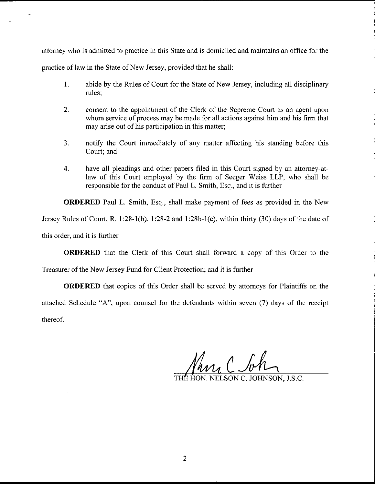attomey who is admitted to practice in this State and is domiciled and maintains an office for the practice of law in the State of New Jersey, provided that he shall:

- 1. abide by the Rules of Court for the State of New Jersey, including all disciplinary rules;
- 2. consent to the appointment of the Clerk of the Supreme Court as an agent upon whom service of process may be made for all actions against him and his firm that may arise out of his participation in this matter;
- 3. notify the Court immediately of any matter affecting his standing before this Court; and
- 4. have all pleadings and other papers filed in this Courl signed by an attorney-atlaw of this Court employed by the firm of Seeger Weiss LLP, who shall be responsible for the conduct of Paul L. Smith, Esq., and it is further

ORDERED Paul L. Smith, Esq., shall make payment of fees as provided in the New

Jersey Rules of Court, R. 1:28-1(b), 1:28-2 and 1:28b-1(e), within thirty (30) days of the date of

this order, and it is further

ORDERED that the Clerk of this Court shall forward a copy of this Order to the

Treasurer of the New Jersey Fund for Client Protection; and it is further

ORDERED that copies of this Order shall be served by attomeys for Plaintiffs on the attached Schedule "A", upon counsel for the defendants within seven (7) days of the receipt thereof.

Pana C So

HON. NELSON C. JOHNSON. J.S.C.